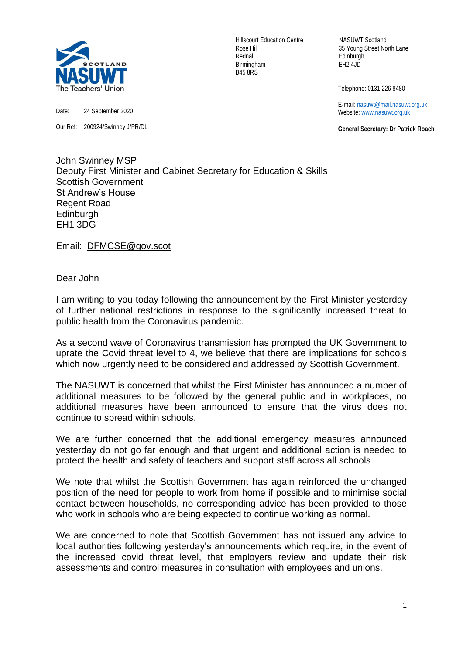

Date: 24 September 2020

Our Ref: 200924/Swinney J/PR/DL

Hillscourt Education Centre NASUWT Scotland Rednal Edinburgh Birmingham EH2 4JD B45 8RS

Rose Hill 35 Young Street North Lane

Telephone: 0131 226 8480

 E-mail[: nasuwt@mail.nasuwt.org.uk](mailto:nasuwt@mail.nasuwt.org.uk) Website: [www.nasuwt.org.uk](http://www.nasuwt.org.uk/)

 **General Secretary: Dr Patrick Roach**

John Swinney MSP Deputy First Minister and Cabinet Secretary for Education & Skills Scottish Government St Andrew's House Regent Road **Edinburgh** EH1 3DG

Email: [DFMCSE@gov.scot](mailto:DFMCSE@gov.scot)

Dear John

I am writing to you today following the announcement by the First Minister yesterday of further national restrictions in response to the significantly increased threat to public health from the Coronavirus pandemic.

As a second wave of Coronavirus transmission has prompted the UK Government to uprate the Covid threat level to 4, we believe that there are implications for schools which now urgently need to be considered and addressed by Scottish Government.

The NASUWT is concerned that whilst the First Minister has announced a number of additional measures to be followed by the general public and in workplaces, no additional measures have been announced to ensure that the virus does not continue to spread within schools.

We are further concerned that the additional emergency measures announced yesterday do not go far enough and that urgent and additional action is needed to protect the health and safety of teachers and support staff across all schools

We note that whilst the Scottish Government has again reinforced the unchanged position of the need for people to work from home if possible and to minimise social contact between households, no corresponding advice has been provided to those who work in schools who are being expected to continue working as normal.

We are concerned to note that Scottish Government has not issued any advice to local authorities following yesterday's announcements which require, in the event of the increased covid threat level, that employers review and update their risk assessments and control measures in consultation with employees and unions.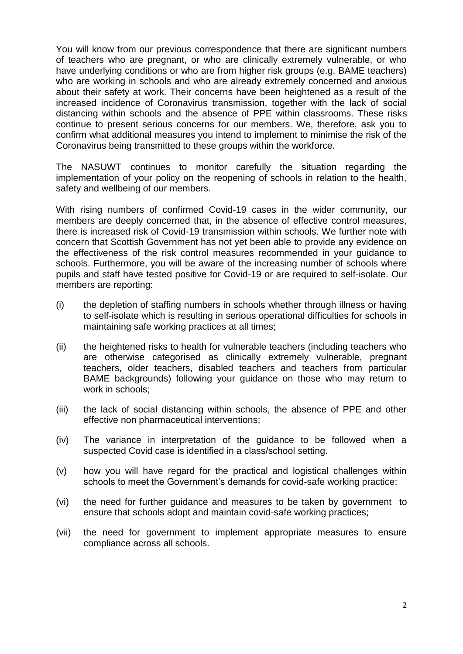You will know from our previous correspondence that there are significant numbers of teachers who are pregnant, or who are clinically extremely vulnerable, or who have underlying conditions or who are from higher risk groups (e.g. BAME teachers) who are working in schools and who are already extremely concerned and anxious about their safety at work. Their concerns have been heightened as a result of the increased incidence of Coronavirus transmission, together with the lack of social distancing within schools and the absence of PPE within classrooms. These risks continue to present serious concerns for our members. We, therefore, ask you to confirm what additional measures you intend to implement to minimise the risk of the Coronavirus being transmitted to these groups within the workforce.

The NASUWT continues to monitor carefully the situation regarding the implementation of your policy on the reopening of schools in relation to the health, safety and wellbeing of our members.

With rising numbers of confirmed Covid-19 cases in the wider community, our members are deeply concerned that, in the absence of effective control measures, there is increased risk of Covid-19 transmission within schools. We further note with concern that Scottish Government has not yet been able to provide any evidence on the effectiveness of the risk control measures recommended in your guidance to schools. Furthermore, you will be aware of the increasing number of schools where pupils and staff have tested positive for Covid-19 or are required to self-isolate. Our members are reporting:

- (i) the depletion of staffing numbers in schools whether through illness or having to self-isolate which is resulting in serious operational difficulties for schools in maintaining safe working practices at all times;
- (ii) the heightened risks to health for vulnerable teachers (including teachers who are otherwise categorised as clinically extremely vulnerable, pregnant teachers, older teachers, disabled teachers and teachers from particular BAME backgrounds) following your guidance on those who may return to work in schools;
- (iii) the lack of social distancing within schools, the absence of PPE and other effective non pharmaceutical interventions;
- (iv) The variance in interpretation of the guidance to be followed when a suspected Covid case is identified in a class/school setting.
- (v) how you will have regard for the practical and logistical challenges within schools to meet the Government's demands for covid-safe working practice;
- (vi) the need for further guidance and measures to be taken by government to ensure that schools adopt and maintain covid-safe working practices;
- (vii) the need for government to implement appropriate measures to ensure compliance across all schools.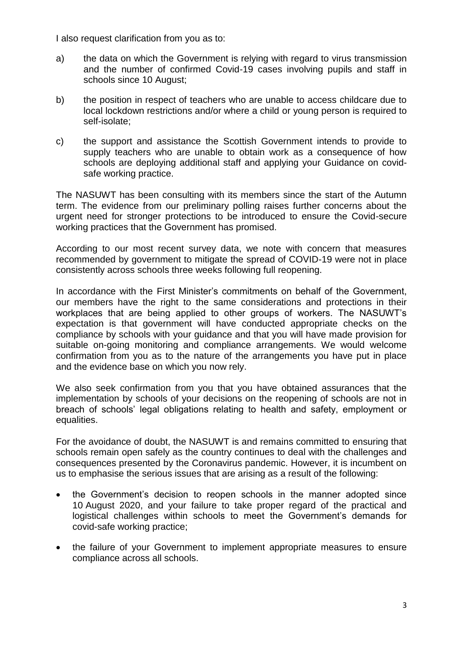I also request clarification from you as to:

- a) the data on which the Government is relying with regard to virus transmission and the number of confirmed Covid-19 cases involving pupils and staff in schools since 10 August;
- b) the position in respect of teachers who are unable to access childcare due to local lockdown restrictions and/or where a child or young person is required to self-isolate;
- c) the support and assistance the Scottish Government intends to provide to supply teachers who are unable to obtain work as a consequence of how schools are deploying additional staff and applying your Guidance on covidsafe working practice.

The NASUWT has been consulting with its members since the start of the Autumn term. The evidence from our preliminary polling raises further concerns about the urgent need for stronger protections to be introduced to ensure the Covid-secure working practices that the Government has promised.

According to our most recent survey data, we note with concern that measures recommended by government to mitigate the spread of COVID-19 were not in place consistently across schools three weeks following full reopening.

In accordance with the First Minister's commitments on behalf of the Government, our members have the right to the same considerations and protections in their workplaces that are being applied to other groups of workers. The NASUWT's expectation is that government will have conducted appropriate checks on the compliance by schools with your guidance and that you will have made provision for suitable on-going monitoring and compliance arrangements. We would welcome confirmation from you as to the nature of the arrangements you have put in place and the evidence base on which you now rely.

We also seek confirmation from you that you have obtained assurances that the implementation by schools of your decisions on the reopening of schools are not in breach of schools' legal obligations relating to health and safety, employment or equalities.

For the avoidance of doubt, the NASUWT is and remains committed to ensuring that schools remain open safely as the country continues to deal with the challenges and consequences presented by the Coronavirus pandemic. However, it is incumbent on us to emphasise the serious issues that are arising as a result of the following:

- the Government's decision to reopen schools in the manner adopted since 10 August 2020, and your failure to take proper regard of the practical and logistical challenges within schools to meet the Government's demands for covid-safe working practice;
- the failure of your Government to implement appropriate measures to ensure compliance across all schools.